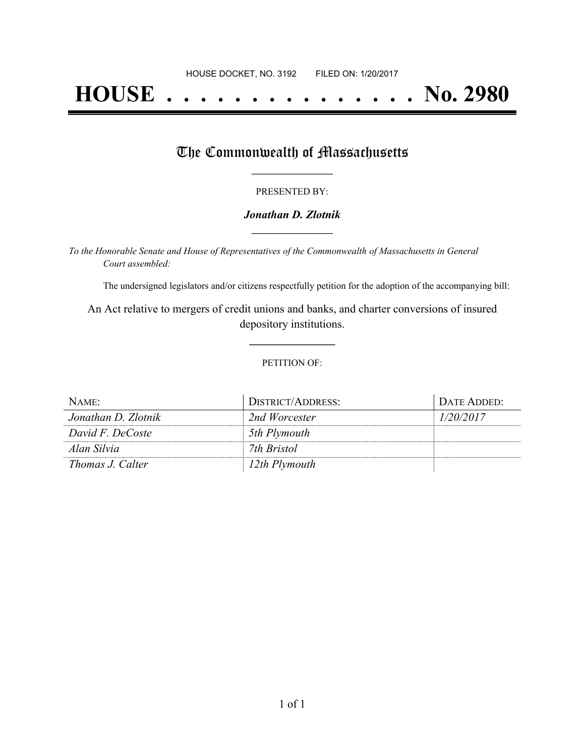# **HOUSE . . . . . . . . . . . . . . . No. 2980**

## The Commonwealth of Massachusetts

#### PRESENTED BY:

### *Jonathan D. Zlotnik* **\_\_\_\_\_\_\_\_\_\_\_\_\_\_\_\_\_**

*To the Honorable Senate and House of Representatives of the Commonwealth of Massachusetts in General Court assembled:*

The undersigned legislators and/or citizens respectfully petition for the adoption of the accompanying bill:

An Act relative to mergers of credit unions and banks, and charter conversions of insured depository institutions.

**\_\_\_\_\_\_\_\_\_\_\_\_\_\_\_**

#### PETITION OF:

| NAME:               | DISTRICT/ADDRESS: | DATE ADDED: |
|---------------------|-------------------|-------------|
| Jonathan D. Zlotnik | 2nd Worcester     | 1/20/2017   |
| David F. DeCoste    | 5th Plymouth      |             |
| Alan Silvia         | 7th Bristol       |             |
| Thomas J. Calter    | 12th Plymouth     |             |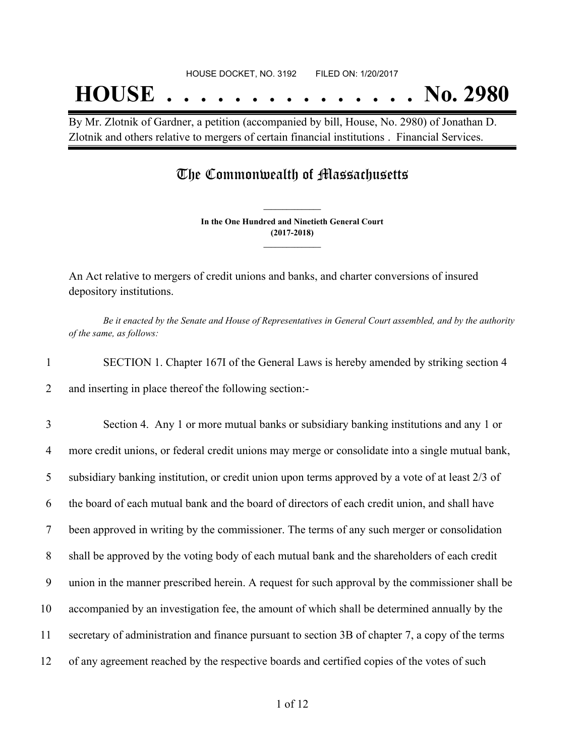By Mr. Zlotnik of Gardner, a petition (accompanied by bill, House, No. 2980) of Jonathan D. Zlotnik and others relative to mergers of certain financial institutions . Financial Services.

## The Commonwealth of Massachusetts

**In the One Hundred and Ninetieth General Court (2017-2018) \_\_\_\_\_\_\_\_\_\_\_\_\_\_\_**

**\_\_\_\_\_\_\_\_\_\_\_\_\_\_\_**

An Act relative to mergers of credit unions and banks, and charter conversions of insured depository institutions.

Be it enacted by the Senate and House of Representatives in General Court assembled, and by the authority *of the same, as follows:*

1 SECTION 1. Chapter 167I of the General Laws is hereby amended by striking section 4 2 and inserting in place thereof the following section:-

 Section 4. Any 1 or more mutual banks or subsidiary banking institutions and any 1 or more credit unions, or federal credit unions may merge or consolidate into a single mutual bank, subsidiary banking institution, or credit union upon terms approved by a vote of at least 2/3 of the board of each mutual bank and the board of directors of each credit union, and shall have been approved in writing by the commissioner. The terms of any such merger or consolidation shall be approved by the voting body of each mutual bank and the shareholders of each credit union in the manner prescribed herein. A request for such approval by the commissioner shall be accompanied by an investigation fee, the amount of which shall be determined annually by the secretary of administration and finance pursuant to section 3B of chapter 7, a copy of the terms of any agreement reached by the respective boards and certified copies of the votes of such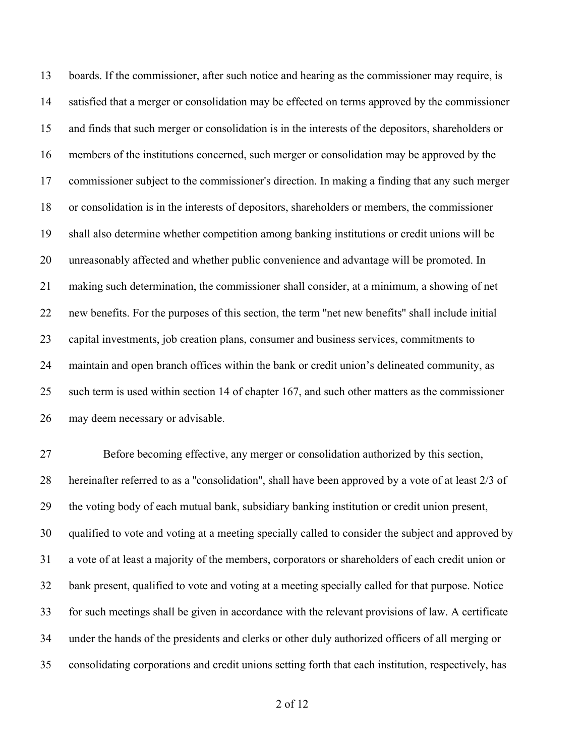boards. If the commissioner, after such notice and hearing as the commissioner may require, is satisfied that a merger or consolidation may be effected on terms approved by the commissioner and finds that such merger or consolidation is in the interests of the depositors, shareholders or members of the institutions concerned, such merger or consolidation may be approved by the commissioner subject to the commissioner's direction. In making a finding that any such merger or consolidation is in the interests of depositors, shareholders or members, the commissioner shall also determine whether competition among banking institutions or credit unions will be unreasonably affected and whether public convenience and advantage will be promoted. In making such determination, the commissioner shall consider, at a minimum, a showing of net new benefits. For the purposes of this section, the term ''net new benefits'' shall include initial capital investments, job creation plans, consumer and business services, commitments to maintain and open branch offices within the bank or credit union's delineated community, as such term is used within section 14 of chapter 167, and such other matters as the commissioner may deem necessary or advisable.

 Before becoming effective, any merger or consolidation authorized by this section, hereinafter referred to as a ''consolidation'', shall have been approved by a vote of at least 2/3 of the voting body of each mutual bank, subsidiary banking institution or credit union present, qualified to vote and voting at a meeting specially called to consider the subject and approved by a vote of at least a majority of the members, corporators or shareholders of each credit union or bank present, qualified to vote and voting at a meeting specially called for that purpose. Notice for such meetings shall be given in accordance with the relevant provisions of law. A certificate under the hands of the presidents and clerks or other duly authorized officers of all merging or consolidating corporations and credit unions setting forth that each institution, respectively, has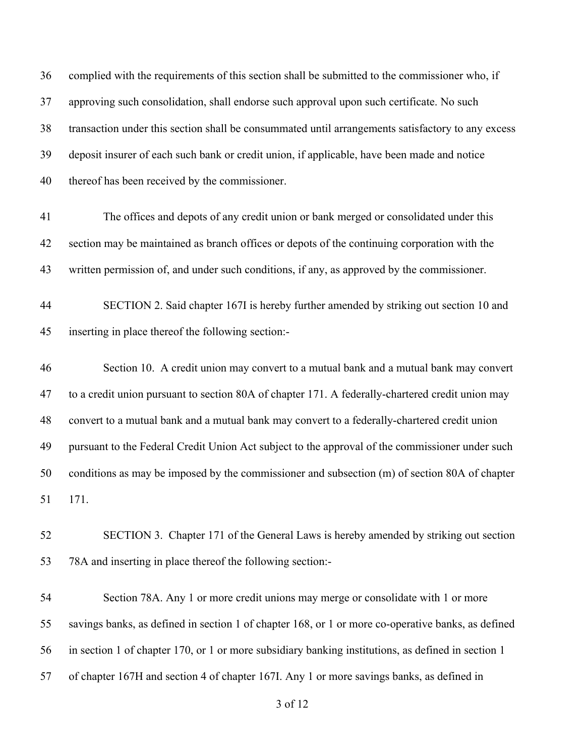complied with the requirements of this section shall be submitted to the commissioner who, if approving such consolidation, shall endorse such approval upon such certificate. No such transaction under this section shall be consummated until arrangements satisfactory to any excess deposit insurer of each such bank or credit union, if applicable, have been made and notice thereof has been received by the commissioner.

- The offices and depots of any credit union or bank merged or consolidated under this section may be maintained as branch offices or depots of the continuing corporation with the written permission of, and under such conditions, if any, as approved by the commissioner.
- SECTION 2. Said chapter 167I is hereby further amended by striking out section 10 and inserting in place thereof the following section:-
- Section 10. A credit union may convert to a mutual bank and a mutual bank may convert to a credit union pursuant to section 80A of chapter 171. A federally-chartered credit union may convert to a mutual bank and a mutual bank may convert to a federally-chartered credit union pursuant to the Federal Credit Union Act subject to the approval of the commissioner under such conditions as may be imposed by the commissioner and subsection (m) of section 80A of chapter 171.
- SECTION 3. Chapter 171 of the General Laws is hereby amended by striking out section 78A and inserting in place thereof the following section:-

 Section 78A. Any 1 or more credit unions may merge or consolidate with 1 or more savings banks, as defined in section 1 of chapter 168, or 1 or more co-operative banks, as defined in section 1 of chapter 170, or 1 or more subsidiary banking institutions, as defined in section 1 of chapter 167H and section 4 of chapter 167I. Any 1 or more savings banks, as defined in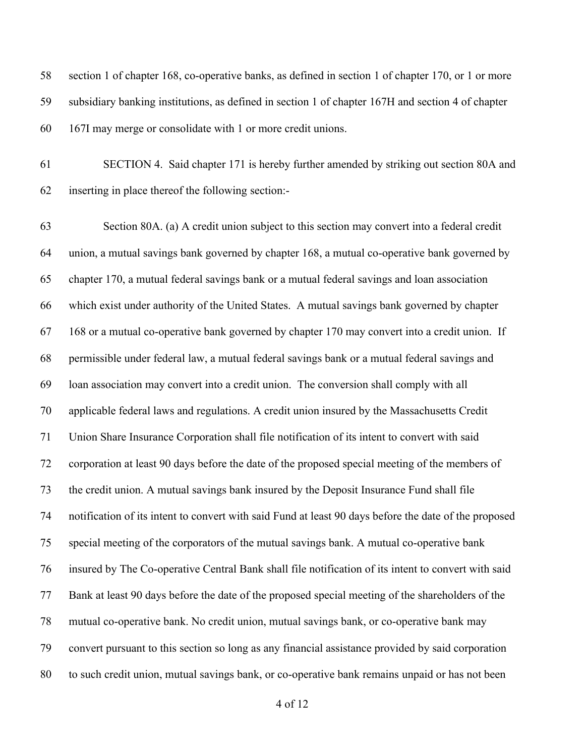section 1 of chapter 168, co-operative banks, as defined in section 1 of chapter 170, or 1 or more subsidiary banking institutions, as defined in section 1 of chapter 167H and section 4 of chapter 167I may merge or consolidate with 1 or more credit unions.

 SECTION 4. Said chapter 171 is hereby further amended by striking out section 80A and inserting in place thereof the following section:-

 Section 80A. (a) A credit union subject to this section may convert into a federal credit union, a mutual savings bank governed by chapter 168, a mutual co-operative bank governed by chapter 170, a mutual federal savings bank or a mutual federal savings and loan association which exist under authority of the United States. A mutual savings bank governed by chapter 168 or a mutual co-operative bank governed by chapter 170 may convert into a credit union. If permissible under federal law, a mutual federal savings bank or a mutual federal savings and loan association may convert into a credit union. The conversion shall comply with all applicable federal laws and regulations. A credit union insured by the Massachusetts Credit Union Share Insurance Corporation shall file notification of its intent to convert with said corporation at least 90 days before the date of the proposed special meeting of the members of the credit union. A mutual savings bank insured by the Deposit Insurance Fund shall file notification of its intent to convert with said Fund at least 90 days before the date of the proposed special meeting of the corporators of the mutual savings bank. A mutual co-operative bank insured by The Co-operative Central Bank shall file notification of its intent to convert with said Bank at least 90 days before the date of the proposed special meeting of the shareholders of the mutual co-operative bank. No credit union, mutual savings bank, or co-operative bank may convert pursuant to this section so long as any financial assistance provided by said corporation to such credit union, mutual savings bank, or co-operative bank remains unpaid or has not been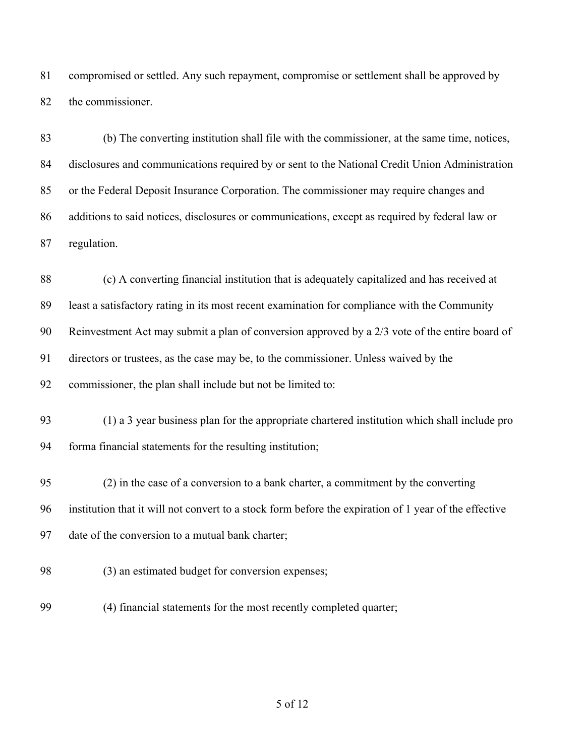compromised or settled. Any such repayment, compromise or settlement shall be approved by the commissioner.

 (b) The converting institution shall file with the commissioner, at the same time, notices, disclosures and communications required by or sent to the National Credit Union Administration or the Federal Deposit Insurance Corporation. The commissioner may require changes and additions to said notices, disclosures or communications, except as required by federal law or regulation.

 (c) A converting financial institution that is adequately capitalized and has received at least a satisfactory rating in its most recent examination for compliance with the Community Reinvestment Act may submit a plan of conversion approved by a 2/3 vote of the entire board of directors or trustees, as the case may be, to the commissioner. Unless waived by the commissioner, the plan shall include but not be limited to: (1) a 3 year business plan for the appropriate chartered institution which shall include pro forma financial statements for the resulting institution; (2) in the case of a conversion to a bank charter, a commitment by the converting institution that it will not convert to a stock form before the expiration of 1 year of the effective date of the conversion to a mutual bank charter; (3) an estimated budget for conversion expenses;

(4) financial statements for the most recently completed quarter;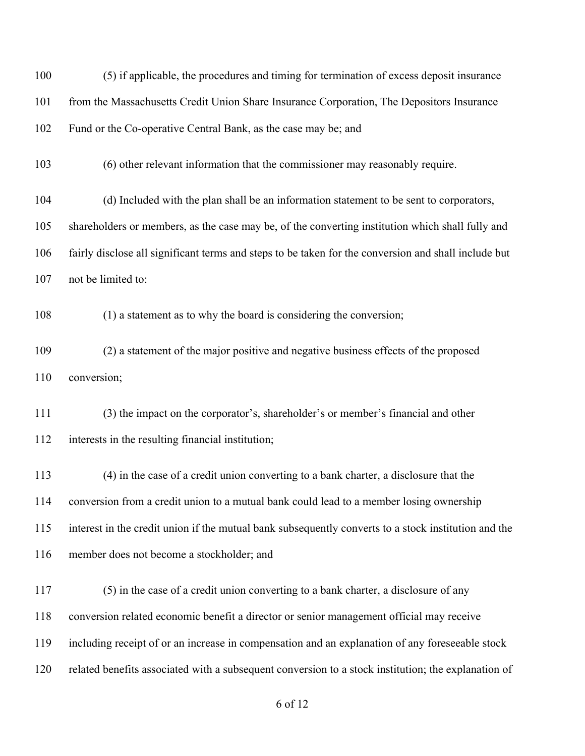| 100 | (5) if applicable, the procedures and timing for termination of excess deposit insurance             |
|-----|------------------------------------------------------------------------------------------------------|
| 101 | from the Massachusetts Credit Union Share Insurance Corporation, The Depositors Insurance            |
| 102 | Fund or the Co-operative Central Bank, as the case may be; and                                       |
| 103 | (6) other relevant information that the commissioner may reasonably require.                         |
| 104 | (d) Included with the plan shall be an information statement to be sent to corporators,              |
| 105 | shareholders or members, as the case may be, of the converting institution which shall fully and     |
| 106 | fairly disclose all significant terms and steps to be taken for the conversion and shall include but |
| 107 | not be limited to:                                                                                   |
| 108 | (1) a statement as to why the board is considering the conversion;                                   |
| 109 | (2) a statement of the major positive and negative business effects of the proposed                  |
| 110 | conversion;                                                                                          |
| 111 | (3) the impact on the corporator's, shareholder's or member's financial and other                    |
| 112 | interests in the resulting financial institution;                                                    |
| 113 | (4) in the case of a credit union converting to a bank charter, a disclosure that the                |
| 114 | conversion from a credit union to a mutual bank could lead to a member losing ownership              |
| 115 | interest in the credit union if the mutual bank subsequently converts to a stock institution and the |
| 116 | member does not become a stockholder; and                                                            |
| 117 | (5) in the case of a credit union converting to a bank charter, a disclosure of any                  |
| 118 | conversion related economic benefit a director or senior management official may receive             |
| 119 | including receipt of or an increase in compensation and an explanation of any foreseeable stock      |
| 120 | related benefits associated with a subsequent conversion to a stock institution; the explanation of  |
|     |                                                                                                      |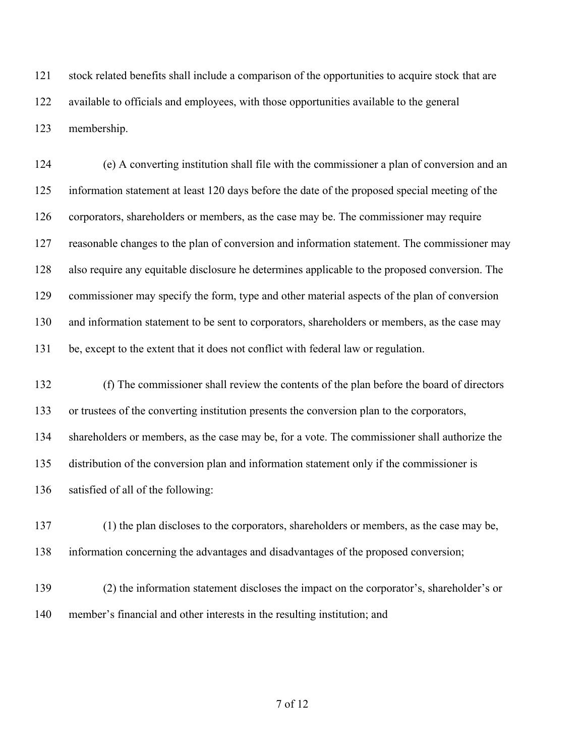stock related benefits shall include a comparison of the opportunities to acquire stock that are available to officials and employees, with those opportunities available to the general membership.

 (e) A converting institution shall file with the commissioner a plan of conversion and an information statement at least 120 days before the date of the proposed special meeting of the corporators, shareholders or members, as the case may be. The commissioner may require reasonable changes to the plan of conversion and information statement. The commissioner may also require any equitable disclosure he determines applicable to the proposed conversion. The commissioner may specify the form, type and other material aspects of the plan of conversion 130 and information statement to be sent to corporators, shareholders or members, as the case may be, except to the extent that it does not conflict with federal law or regulation.

 (f) The commissioner shall review the contents of the plan before the board of directors or trustees of the converting institution presents the conversion plan to the corporators, shareholders or members, as the case may be, for a vote. The commissioner shall authorize the distribution of the conversion plan and information statement only if the commissioner is satisfied of all of the following:

 (1) the plan discloses to the corporators, shareholders or members, as the case may be, information concerning the advantages and disadvantages of the proposed conversion;

 (2) the information statement discloses the impact on the corporator's, shareholder's or member's financial and other interests in the resulting institution; and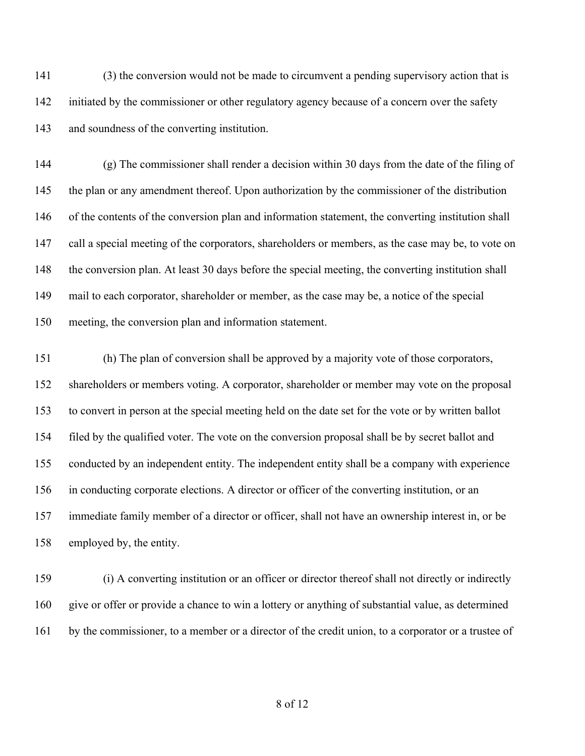(3) the conversion would not be made to circumvent a pending supervisory action that is 142 initiated by the commissioner or other regulatory agency because of a concern over the safety and soundness of the converting institution.

 (g) The commissioner shall render a decision within 30 days from the date of the filing of the plan or any amendment thereof. Upon authorization by the commissioner of the distribution of the contents of the conversion plan and information statement, the converting institution shall call a special meeting of the corporators, shareholders or members, as the case may be, to vote on the conversion plan. At least 30 days before the special meeting, the converting institution shall mail to each corporator, shareholder or member, as the case may be, a notice of the special meeting, the conversion plan and information statement.

 (h) The plan of conversion shall be approved by a majority vote of those corporators, shareholders or members voting. A corporator, shareholder or member may vote on the proposal to convert in person at the special meeting held on the date set for the vote or by written ballot filed by the qualified voter. The vote on the conversion proposal shall be by secret ballot and conducted by an independent entity. The independent entity shall be a company with experience in conducting corporate elections. A director or officer of the converting institution, or an immediate family member of a director or officer, shall not have an ownership interest in, or be employed by, the entity.

 (i) A converting institution or an officer or director thereof shall not directly or indirectly give or offer or provide a chance to win a lottery or anything of substantial value, as determined by the commissioner, to a member or a director of the credit union, to a corporator or a trustee of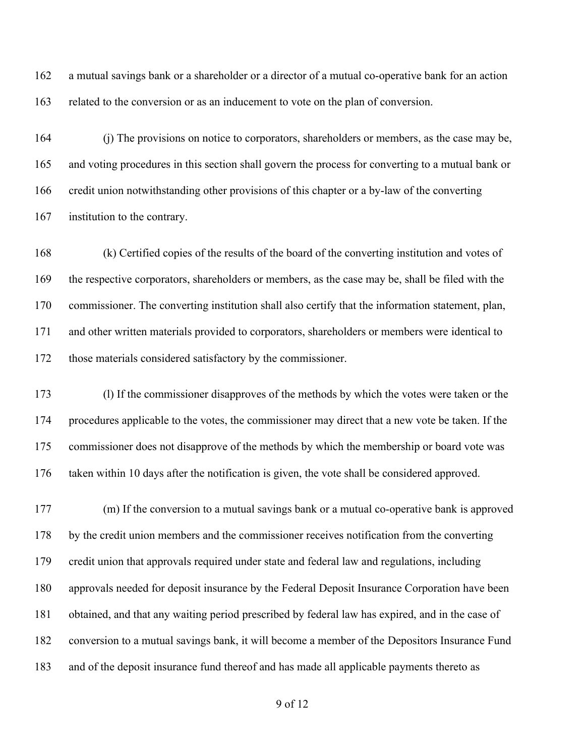a mutual savings bank or a shareholder or a director of a mutual co-operative bank for an action related to the conversion or as an inducement to vote on the plan of conversion.

 (j) The provisions on notice to corporators, shareholders or members, as the case may be, and voting procedures in this section shall govern the process for converting to a mutual bank or credit union notwithstanding other provisions of this chapter or a by-law of the converting institution to the contrary.

 (k) Certified copies of the results of the board of the converting institution and votes of the respective corporators, shareholders or members, as the case may be, shall be filed with the commissioner. The converting institution shall also certify that the information statement, plan, and other written materials provided to corporators, shareholders or members were identical to those materials considered satisfactory by the commissioner.

 (l) If the commissioner disapproves of the methods by which the votes were taken or the procedures applicable to the votes, the commissioner may direct that a new vote be taken. If the commissioner does not disapprove of the methods by which the membership or board vote was taken within 10 days after the notification is given, the vote shall be considered approved.

 (m) If the conversion to a mutual savings bank or a mutual co-operative bank is approved by the credit union members and the commissioner receives notification from the converting credit union that approvals required under state and federal law and regulations, including approvals needed for deposit insurance by the Federal Deposit Insurance Corporation have been obtained, and that any waiting period prescribed by federal law has expired, and in the case of conversion to a mutual savings bank, it will become a member of the Depositors Insurance Fund and of the deposit insurance fund thereof and has made all applicable payments thereto as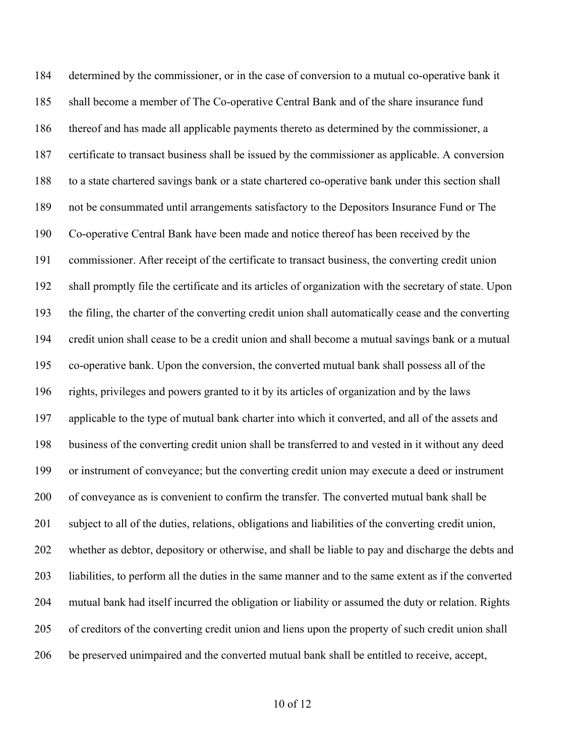determined by the commissioner, or in the case of conversion to a mutual co-operative bank it shall become a member of The Co-operative Central Bank and of the share insurance fund thereof and has made all applicable payments thereto as determined by the commissioner, a certificate to transact business shall be issued by the commissioner as applicable. A conversion to a state chartered savings bank or a state chartered co-operative bank under this section shall not be consummated until arrangements satisfactory to the Depositors Insurance Fund or The Co-operative Central Bank have been made and notice thereof has been received by the commissioner. After receipt of the certificate to transact business, the converting credit union shall promptly file the certificate and its articles of organization with the secretary of state. Upon the filing, the charter of the converting credit union shall automatically cease and the converting credit union shall cease to be a credit union and shall become a mutual savings bank or a mutual co-operative bank. Upon the conversion, the converted mutual bank shall possess all of the rights, privileges and powers granted to it by its articles of organization and by the laws applicable to the type of mutual bank charter into which it converted, and all of the assets and business of the converting credit union shall be transferred to and vested in it without any deed or instrument of conveyance; but the converting credit union may execute a deed or instrument of conveyance as is convenient to confirm the transfer. The converted mutual bank shall be subject to all of the duties, relations, obligations and liabilities of the converting credit union, whether as debtor, depository or otherwise, and shall be liable to pay and discharge the debts and liabilities, to perform all the duties in the same manner and to the same extent as if the converted mutual bank had itself incurred the obligation or liability or assumed the duty or relation. Rights of creditors of the converting credit union and liens upon the property of such credit union shall be preserved unimpaired and the converted mutual bank shall be entitled to receive, accept,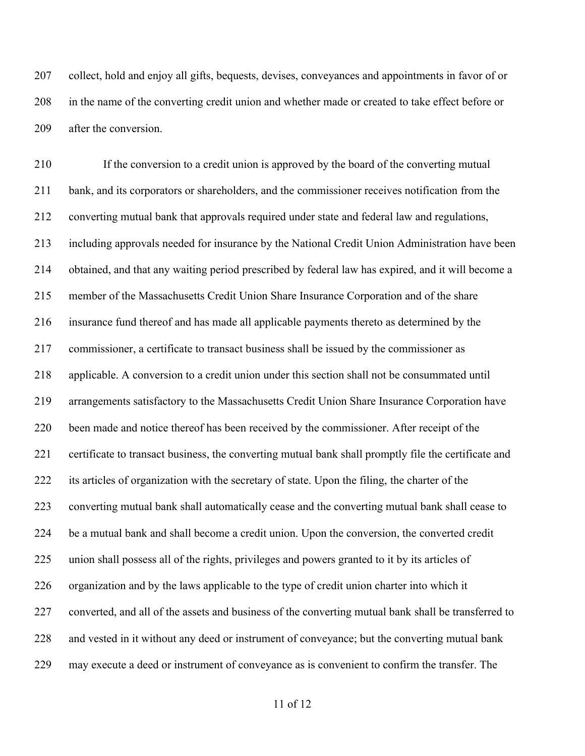collect, hold and enjoy all gifts, bequests, devises, conveyances and appointments in favor of or in the name of the converting credit union and whether made or created to take effect before or after the conversion.

 If the conversion to a credit union is approved by the board of the converting mutual bank, and its corporators or shareholders, and the commissioner receives notification from the converting mutual bank that approvals required under state and federal law and regulations, including approvals needed for insurance by the National Credit Union Administration have been obtained, and that any waiting period prescribed by federal law has expired, and it will become a member of the Massachusetts Credit Union Share Insurance Corporation and of the share insurance fund thereof and has made all applicable payments thereto as determined by the commissioner, a certificate to transact business shall be issued by the commissioner as applicable. A conversion to a credit union under this section shall not be consummated until arrangements satisfactory to the Massachusetts Credit Union Share Insurance Corporation have been made and notice thereof has been received by the commissioner. After receipt of the certificate to transact business, the converting mutual bank shall promptly file the certificate and its articles of organization with the secretary of state. Upon the filing, the charter of the converting mutual bank shall automatically cease and the converting mutual bank shall cease to be a mutual bank and shall become a credit union. Upon the conversion, the converted credit union shall possess all of the rights, privileges and powers granted to it by its articles of organization and by the laws applicable to the type of credit union charter into which it converted, and all of the assets and business of the converting mutual bank shall be transferred to and vested in it without any deed or instrument of conveyance; but the converting mutual bank may execute a deed or instrument of conveyance as is convenient to confirm the transfer. The